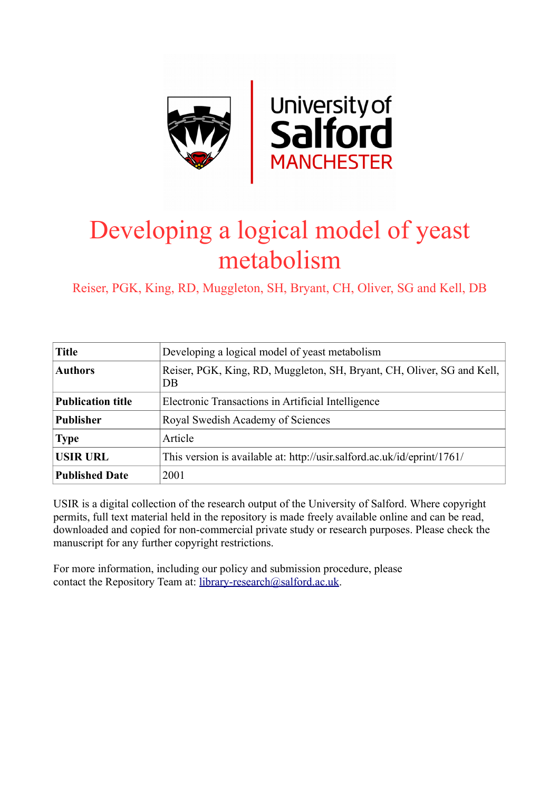

# Developing a logical model of yeast metabolism

Reiser, PGK, King, RD, Muggleton, SH, Bryant, CH, Oliver, SG and Kell, DB

| <b>Title</b>             | Developing a logical model of yeast metabolism                                           |
|--------------------------|------------------------------------------------------------------------------------------|
| <b>Authors</b>           | Reiser, PGK, King, RD, Muggleton, SH, Bryant, CH, Oliver, SG and Kell,<br>D <sub>B</sub> |
| <b>Publication title</b> | Electronic Transactions in Artificial Intelligence                                       |
| <b>Publisher</b>         | Royal Swedish Academy of Sciences                                                        |
| <b>Type</b>              | Article                                                                                  |
| <b>USIR URL</b>          | This version is available at: http://usir.salford.ac.uk/id/eprint/1761/                  |
| <b>Published Date</b>    | 2001                                                                                     |

USIR is a digital collection of the research output of the University of Salford. Where copyright permits, full text material held in the repository is made freely available online and can be read, downloaded and copied for non-commercial private study or research purposes. Please check the manuscript for any further copyright restrictions.

For more information, including our policy and submission procedure, please contact the Repository Team at: [library-research@salford.ac.uk.](mailto:library-research@salford.ac.uk)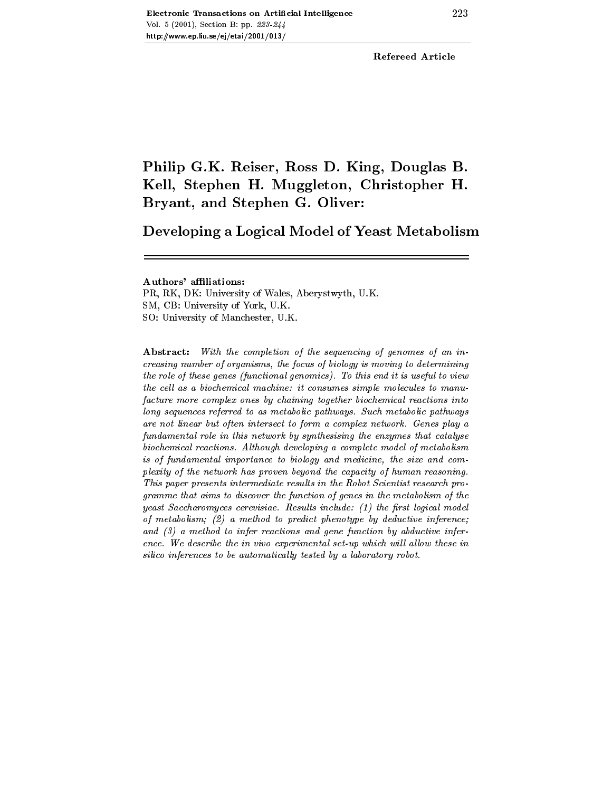Refereed Article

## Philip G-K- Reiser Ross D- King Douglas Bkell Stephen H- Muggleton Christopher H- Muggle Bryant and Stephen G- Oliver

Developing a Logical Model of Yeast Metabolism

PR- RK- DK University of Wales- Aberystwyth- UK SM- CB University of York- UK SO University of Manchester- UK

Abstract: With the completion of the sequencing of genomes of an increasing number of organisms the focus of biology is moving to determining the role of these genes (functional genomics). To this end it is useful to view the cell as a biochemical machine: it consumes simple molecules to manufacture more complex ones by chaining together biochemical reactions into long sequences referred to as metabolic pathways. Such metabolic pathways are not linear but often intersect to form a complex network Genes play a fundamental role in this network by synthesising the enzymes that catalyse biochemical reactions Although developing a complete model of metabolism is of fundamental importance to biology and medicine, the size and complexity of the network has proven beyond the capacity of human reasoning This paper presents intermediate results in the Robot Scientist research programme that aims to discover the function of genes in the metabolism of the yeast Saccharomyces cerevisiae. Results include:  $(1)$  the first logical model of metabolism a method to predict phenotype by deductive inference and  $(3)$  a method to infer reactions and gene function by abductive inference we we also the in vivo experimental set-up which will discuss the set $silico$  inferences to be automatically tested by a laboratory robot.